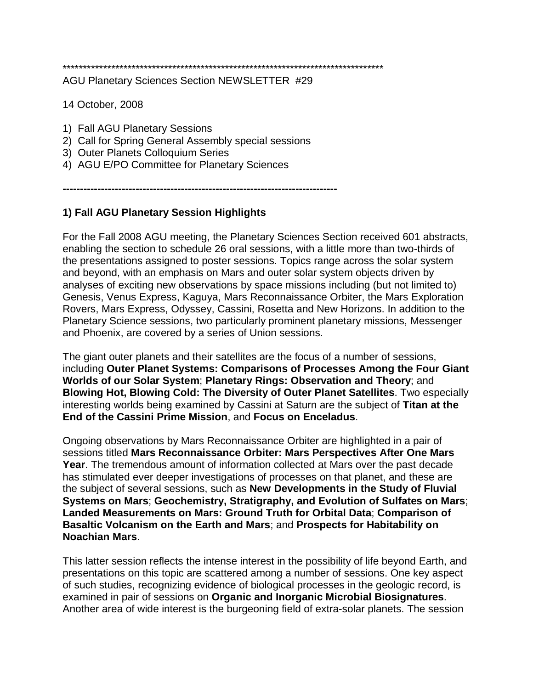\*\*\*\*\*\*\*\*\*\*\*\*\*\*\*\*\*\*\*\*\*\*\*\*\*\*\*\*\*\*\*\*\*\*\*\*\*\*\*\*\*\*\*\*\*\*\*\*\*\*\*\*\*\*\*\*\*\*\*\*\*\*\*\*\*\*\*\*\*\*\*\*\*\*\*\*\*\*\*

AGU Planetary Sciences Section NEWSLETTER #29

14 October, 2008

- 1) Fall AGU Planetary Sessions
- 2) Call for Spring General Assembly special sessions
- 3) Outer Planets Colloquium Series
- 4) AGU E/PO Committee for Planetary Sciences

**-------------------------------------------------------------------------------**

# **1) Fall AGU Planetary Session Highlights**

For the Fall 2008 AGU meeting, the Planetary Sciences Section received 601 abstracts, enabling the section to schedule 26 oral sessions, with a little more than two-thirds of the presentations assigned to poster sessions. Topics range across the solar system and beyond, with an emphasis on Mars and outer solar system objects driven by analyses of exciting new observations by space missions including (but not limited to) Genesis, Venus Express, Kaguya, Mars Reconnaissance Orbiter, the Mars Exploration Rovers, Mars Express, Odyssey, Cassini, Rosetta and New Horizons. In addition to the Planetary Science sessions, two particularly prominent planetary missions, Messenger and Phoenix, are covered by a series of Union sessions.

The giant outer planets and their satellites are the focus of a number of sessions, including **Outer Planet Systems: Comparisons of Processes Among the Four Giant Worlds of our Solar System**; **Planetary Rings: Observation and Theory**; and **Blowing Hot, Blowing Cold: The Diversity of Outer Planet Satellites**. Two especially interesting worlds being examined by Cassini at Saturn are the subject of **Titan at the End of the Cassini Prime Mission**, and **Focus on Enceladus**.

Ongoing observations by Mars Reconnaissance Orbiter are highlighted in a pair of sessions titled **Mars Reconnaissance Orbiter: Mars Perspectives After One Mars Year**. The tremendous amount of information collected at Mars over the past decade has stimulated ever deeper investigations of processes on that planet, and these are the subject of several sessions, such as **New Developments in the Study of Fluvial Systems on Mars**; **Geochemistry, Stratigraphy, and Evolution of Sulfates on Mars**; **Landed Measurements on Mars: Ground Truth for Orbital Data**; **Comparison of Basaltic Volcanism on the Earth and Mars**; and **Prospects for Habitability on Noachian Mars**.

This latter session reflects the intense interest in the possibility of life beyond Earth, and presentations on this topic are scattered among a number of sessions. One key aspect of such studies, recognizing evidence of biological processes in the geologic record, is examined in pair of sessions on **Organic and Inorganic Microbial Biosignatures**. Another area of wide interest is the burgeoning field of extra-solar planets. The session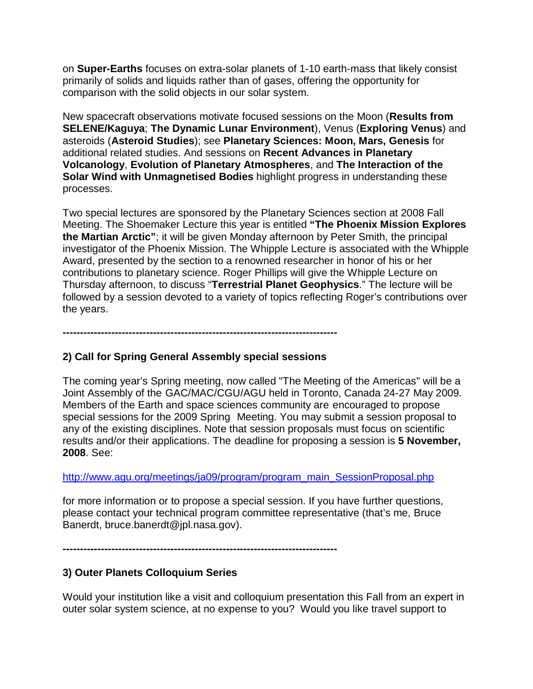on **Super-Earths** focuses on extra-solar planets of 1-10 earth-mass that likely consist primarily of solids and liquids rather than of gases, offering the opportunity for comparison with the solid objects in our solar system.

New spacecraft observations motivate focused sessions on the Moon (**Results from SELENE/Kaguya**; **The Dynamic Lunar Environment**), Venus (**Exploring Venus**) and asteroids (**Asteroid Studies**); see **Planetary Sciences: Moon, Mars, Genesis** for additional related studies. And sessions on **Recent Advances in Planetary Volcanology**, **Evolution of Planetary Atmospheres**, and **The Interaction of the Solar Wind with Unmagnetised Bodies** highlight progress in understanding these processes.

Two special lectures are sponsored by the Planetary Sciences section at 2008 Fall Meeting. The Shoemaker Lecture this year is entitled **"The Phoenix Mission Explores the Martian Arctic"**; it will be given Monday afternoon by Peter Smith, the principal investigator of the Phoenix Mission. The Whipple Lecture is associated with the Whipple Award, presented by the section to a renowned researcher in honor of his or her contributions to planetary science. Roger Phillips will give the Whipple Lecture on Thursday afternoon, to discuss "**Terrestrial Planet Geophysics**." The lecture will be followed by a session devoted to a variety of topics reflecting Roger's contributions over the years.

**-------------------------------------------------------------------------------**

## **2) Call for Spring General Assembly special sessions**

The coming year's Spring meeting, now called "The Meeting of the Americas" will be a Joint Assembly of the GAC/MAC/CGU/AGU held in Toronto, Canada 24-27 May 2009. Members of the Earth and space sciences community are encouraged to propose special sessions for the 2009 Spring Meeting. You may submit a session proposal to any of the existing disciplines. Note that session proposals must focus on scientific results and/or their applications. The deadline for proposing a session is **5 November, 2008**. See:

## [http://www.agu.org/meetings/ja09/program/program\\_main\\_SessionProposal.php](http://www.agu.org/meetings/ja09/program/program_main_SessionProposal.php)

for more information or to propose a special session. If you have further questions, please contact your technical program committee representative (that's me, Bruce Banerdt, bruce.banerdt@jpl.nasa.gov).

**-------------------------------------------------------------------------------**

## **3) Outer Planets Colloquium Series**

Would your institution like a visit and colloquium presentation this Fall from an expert in outer solar system science, at no expense to you? Would you like travel support to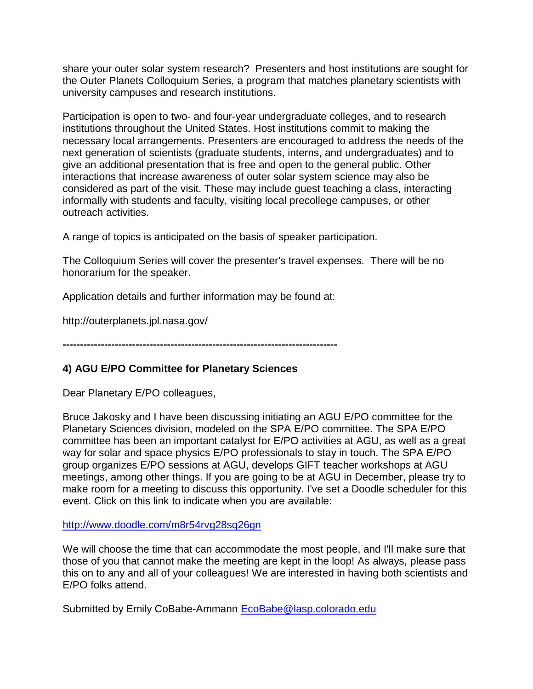share your outer solar system research? Presenters and host institutions are sought for the Outer Planets Colloquium Series, a program that matches planetary scientists with university campuses and research institutions.

Participation is open to two- and four-year undergraduate colleges, and to research institutions throughout the United States. Host institutions commit to making the necessary local arrangements. Presenters are encouraged to address the needs of the next generation of scientists (graduate students, interns, and undergraduates) and to give an additional presentation that is free and open to the general public. Other interactions that increase awareness of outer solar system science may also be considered as part of the visit. These may include guest teaching a class, interacting informally with students and faculty, visiting local precollege campuses, or other outreach activities.

A range of topics is anticipated on the basis of speaker participation.

The Colloquium Series will cover the presenter's travel expenses. There will be no honorarium for the speaker.

Application details and further information may be found at:

http://outerplanets.jpl.nasa.gov/

**-------------------------------------------------------------------------------**

### **4) AGU E/PO Committee for Planetary Sciences**

Dear Planetary E/PO colleagues,

Bruce Jakosky and I have been discussing initiating an AGU E/PO committee for the Planetary Sciences division, modeled on the SPA E/PO committee. The SPA E/PO committee has been an important catalyst for E/PO activities at AGU, as well as a great way for solar and space physics E/PO professionals to stay in touch. The SPA E/PO group organizes E/PO sessions at AGU, develops GIFT teacher workshops at AGU meetings, among other things. If you are going to be at AGU in December, please try to make room for a meeting to discuss this opportunity. I've set a Doodle scheduler for this event. Click on this link to indicate when you are available:

<http://www.doodle.com/m8r54rvg28sq26gn>

We will choose the time that can accommodate the most people, and I'll make sure that those of you that cannot make the meeting are kept in the loop! As always, please pass this on to any and all of your colleagues! We are interested in having both scientists and E/PO folks attend.

Submitted by Emily CoBabe-Ammann EcoBabe@lasp.colorado.edu